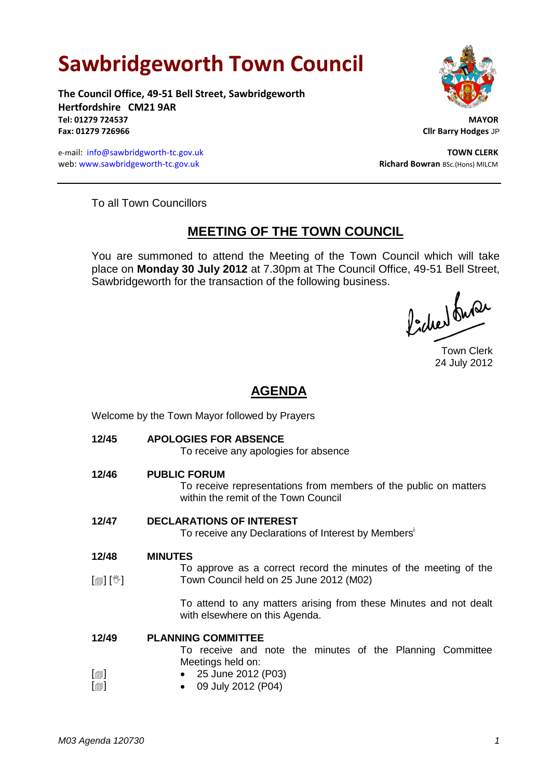# **Sawbridgeworth Town Council**

**The Council Office, 49-51 Bell Street, Sawbridgeworth Hertfordshire CM21 9AR Tel: 01279 724537 MAYOR Fax: 01279 726966 Cllr Barry Hodges** JP

e-mail: [info@sawbridgworth-tc.gov.uk](mailto:info@sawbridgworth-tc.gov.uk) **TOWN CLERK** web: www.sawbridgeworth-tc.gov.uk **Richard Bowran** BSc.(Hons) MILCM



To all Town Councillors

# **MEETING OF THE TOWN COUNCIL**

You are summoned to attend the Meeting of the Town Council which will take place on **Monday 30 July 2012** at 7.30pm at The Council Office, 49-51 Bell Street, Sawbridgeworth for the transaction of the following business.

ladred fune

Town Clerk 24 July 2012

# **AGENDA**

Welcome by the Town Mayor followed by Prayers

**12/45 APOLOGIES FOR ABSENCE**

To receive any apologies for absence

**12/46 PUBLIC FORUM**

To receive representations from members of the public on matters within the remit of the Town Council

# **12/47 DECLARATIONS OF INTEREST**

To receive any Declarations of Interest by Members<sup>i</sup>

- **12/48 MINUTES**
- $\lceil$  [ $\parallel$   $\parallel$   $\parallel$   $\parallel$   $\parallel$ To approve as a correct record the minutes of the meeting of the Town Council held on 25 June 2012 (M02)

To attend to any matters arising from these Minutes and not dealt with elsewhere on this Agenda.

#### **12/49 PLANNING COMMITTEE**

To receive and note the minutes of the Planning Committee Meetings held on:

 $\lceil$  $\blacksquare$  $\lceil$  $\blacksquare$  25 June 2012 (P03) 09 July 2012 (P04)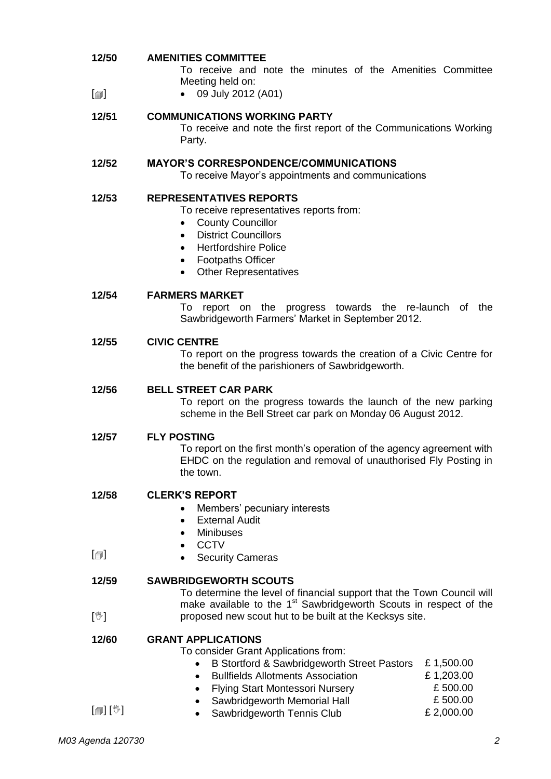| 12/50<br>$\lbrack \oplus \rbrack$ | <b>AMENITIES COMMITTEE</b><br>To receive and note the minutes of the Amenities Committee<br>Meeting held on:<br>09 July 2012 (A01)                                                                                                                                                                               |
|-----------------------------------|------------------------------------------------------------------------------------------------------------------------------------------------------------------------------------------------------------------------------------------------------------------------------------------------------------------|
| 12/51                             | <b>COMMUNICATIONS WORKING PARTY</b><br>To receive and note the first report of the Communications Working<br>Party.                                                                                                                                                                                              |
| 12/52                             | <b>MAYOR'S CORRESPONDENCE/COMMUNICATIONS</b><br>To receive Mayor's appointments and communications                                                                                                                                                                                                               |
| 12/53                             | <b>REPRESENTATIVES REPORTS</b><br>To receive representatives reports from:<br><b>County Councillor</b><br><b>District Councillors</b><br>$\bullet$<br><b>Hertfordshire Police</b><br>$\bullet$<br><b>Footpaths Officer</b><br>$\bullet$<br><b>Other Representatives</b>                                          |
| 12/54                             | <b>FARMERS MARKET</b><br>report on the progress towards the re-launch of the<br>To<br>Sawbridgeworth Farmers' Market in September 2012.                                                                                                                                                                          |
| 12/55                             | <b>CIVIC CENTRE</b><br>To report on the progress towards the creation of a Civic Centre for<br>the benefit of the parishioners of Sawbridgeworth.                                                                                                                                                                |
| 12/56                             | <b>BELL STREET CAR PARK</b><br>To report on the progress towards the launch of the new parking<br>scheme in the Bell Street car park on Monday 06 August 2012.                                                                                                                                                   |
| 12/57                             | <b>FLY POSTING</b><br>To report on the first month's operation of the agency agreement with<br>EHDC on the regulation and removal of unauthorised Fly Posting in<br>the town.                                                                                                                                    |
| 12/58                             | <b>CLERK'S REPORT</b><br>Members' pecuniary interests<br>$\bullet$<br><b>External Audit</b><br>$\bullet$<br><b>Minibuses</b><br>$\bullet$<br><b>CCTV</b>                                                                                                                                                         |
| $\lbrack \oplus \rbrack$          | <b>Security Cameras</b>                                                                                                                                                                                                                                                                                          |
| 12/59                             | <b>SAWBRIDGEWORTH SCOUTS</b><br>To determine the level of financial support that the Town Council will<br>make available to the 1 <sup>st</sup> Sawbridgeworth Scouts in respect of the                                                                                                                          |
| $[\mathbb{V}]$                    | proposed new scout hut to be built at the Kecksys site.                                                                                                                                                                                                                                                          |
| 12/60                             | <b>GRANT APPLICATIONS</b><br>To consider Grant Applications from:<br>B Stortford & Sawbridgeworth Street Pastors<br>£1,500.00<br>$\bullet$<br>£1,203.00<br><b>Bullfields Allotments Association</b><br>$\bullet$<br>£500.00<br><b>Flying Start Montessori Nursery</b><br>£500.00<br>Sawbridgeworth Memorial Hall |

• Sawbridgeworth Tennis Club **E** 2,000.00

 $[\mathbb{D}]$   $[\mathbb{V}]$